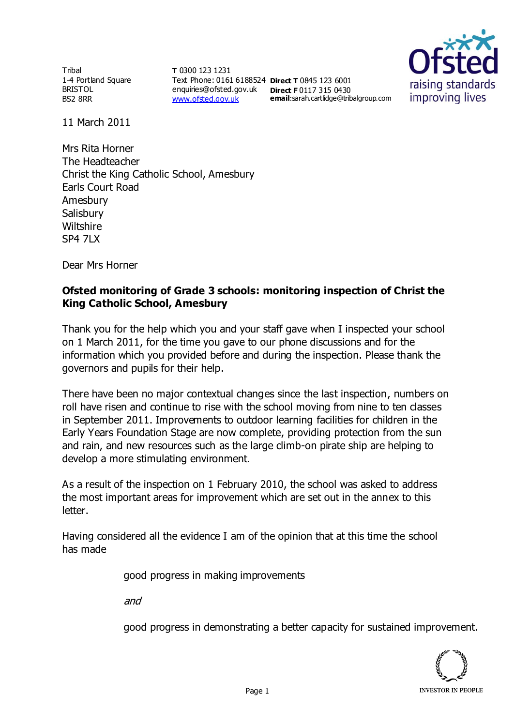**Tribal** 1-4 Portland Square BRISTOL BS2 8RR

**T** 0300 123 1231 Text Phone: 0161 6188524 **Direct T** 0845 123 6001 enquiries@ofsted.gov.uk **Direct F** 0117 315 0430 [www.ofsted.gov.uk](http://www.ofsted.gov.uk/)



11 March 2011

Mrs Rita Horner The Headteacher Christ the King Catholic School, Amesbury Earls Court Road Amesbury **Salisbury Wiltshire** SP4 7LX

Dear Mrs Horner

## **Ofsted monitoring of Grade 3 schools: monitoring inspection of Christ the King Catholic School, Amesbury**

Thank you for the help which you and your staff gave when I inspected your school on 1 March 2011, for the time you gave to our phone discussions and for the information which you provided before and during the inspection. Please thank the governors and pupils for their help.

There have been no major contextual changes since the last inspection, numbers on roll have risen and continue to rise with the school moving from nine to ten classes in September 2011. Improvements to outdoor learning facilities for children in the Early Years Foundation Stage are now complete, providing protection from the sun and rain, and new resources such as the large climb-on pirate ship are helping to develop a more stimulating environment.

As a result of the inspection on 1 February 2010, the school was asked to address the most important areas for improvement which are set out in the annex to this letter.

Having considered all the evidence I am of the opinion that at this time the school has made

good progress in making improvements

and

good progress in demonstrating a better capacity for sustained improvement.

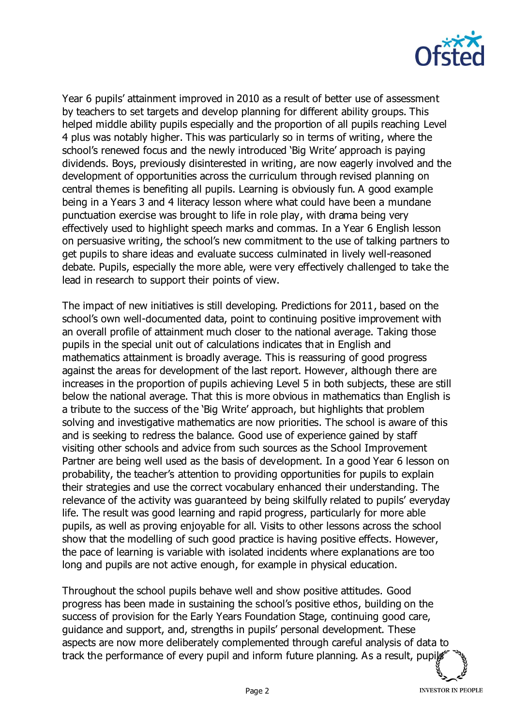

Year 6 pupils' attainment improved in 2010 as a result of better use of assessment by teachers to set targets and develop planning for different ability groups. This helped middle ability pupils especially and the proportion of all pupils reaching Level 4 plus was notably higher. This was particularly so in terms of writing, where the school's renewed focus and the newly introduced 'Big Write' approach is paying dividends. Boys, previously disinterested in writing, are now eagerly involved and the development of opportunities across the curriculum through revised planning on central themes is benefiting all pupils. Learning is obviously fun. A good example being in a Years 3 and 4 literacy lesson where what could have been a mundane punctuation exercise was brought to life in role play, with drama being very effectively used to highlight speech marks and commas. In a Year 6 English lesson on persuasive writing, the school's new commitment to the use of talking partners to get pupils to share ideas and evaluate success culminated in lively well-reasoned debate. Pupils, especially the more able, were very effectively challenged to take the lead in research to support their points of view.

The impact of new initiatives is still developing. Predictions for 2011, based on the school's own well-documented data, point to continuing positive improvement with an overall profile of attainment much closer to the national average. Taking those pupils in the special unit out of calculations indicates that in English and mathematics attainment is broadly average. This is reassuring of good progress against the areas for development of the last report. However, although there are increases in the proportion of pupils achieving Level 5 in both subjects, these are still below the national average. That this is more obvious in mathematics than English is a tribute to the success of the 'Big Write' approach, but highlights that problem solving and investigative mathematics are now priorities. The school is aware of this and is seeking to redress the balance. Good use of experience gained by staff visiting other schools and advice from such sources as the School Improvement Partner are being well used as the basis of development. In a good Year 6 lesson on probability, the teacher's attention to providing opportunities for pupils to explain their strategies and use the correct vocabulary enhanced their understanding. The relevance of the activity was guaranteed by being skilfully related to pupils' everyday life. The result was good learning and rapid progress, particularly for more able pupils, as well as proving enjoyable for all. Visits to other lessons across the school show that the modelling of such good practice is having positive effects. However, the pace of learning is variable with isolated incidents where explanations are too long and pupils are not active enough, for example in physical education.

Throughout the school pupils behave well and show positive attitudes. Good progress has been made in sustaining the school's positive ethos, building on the success of provision for the Early Years Foundation Stage, continuing good care, guidance and support, and, strengths in pupils' personal development. These aspects are now more deliberately complemented through careful analysis of data to track the performance of every pupil and inform future planning. As a result, pupil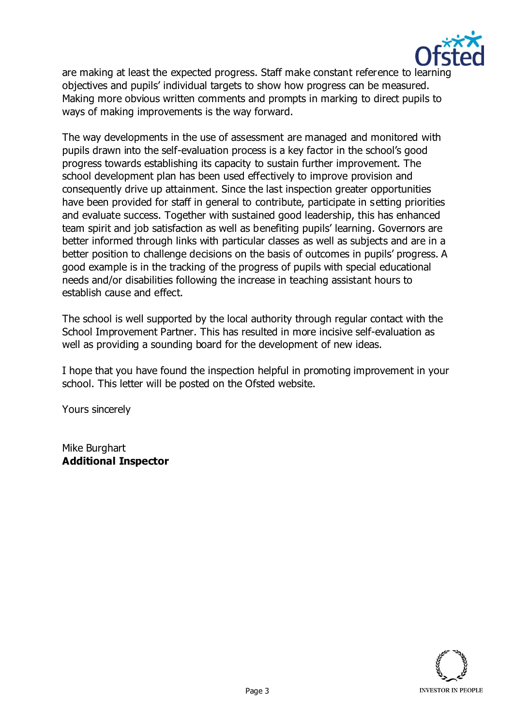

are making at least the expected progress. Staff make constant reference to learning objectives and pupils' individual targets to show how progress can be measured. Making more obvious written comments and prompts in marking to direct pupils to ways of making improvements is the way forward.

The way developments in the use of assessment are managed and monitored with pupils drawn into the self-evaluation process is a key factor in the school's good progress towards establishing its capacity to sustain further improvement. The school development plan has been used effectively to improve provision and consequently drive up attainment. Since the last inspection greater opportunities have been provided for staff in general to contribute, participate in setting priorities and evaluate success. Together with sustained good leadership, this has enhanced team spirit and job satisfaction as well as benefiting pupils' learning. Governors are better informed through links with particular classes as well as subjects and are in a better position to challenge decisions on the basis of outcomes in pupils' progress. A good example is in the tracking of the progress of pupils with special educational needs and/or disabilities following the increase in teaching assistant hours to establish cause and effect.

The school is well supported by the local authority through regular contact with the School Improvement Partner. This has resulted in more incisive self-evaluation as well as providing a sounding board for the development of new ideas.

I hope that you have found the inspection helpful in promoting improvement in your school. This letter will be posted on the Ofsted website.

Yours sincerely

Mike Burghart **Additional Inspector**